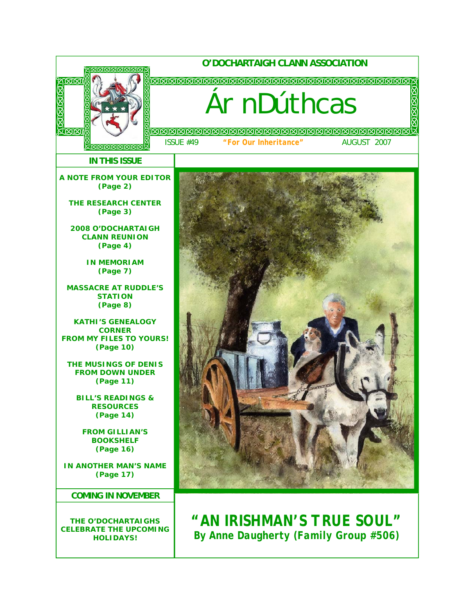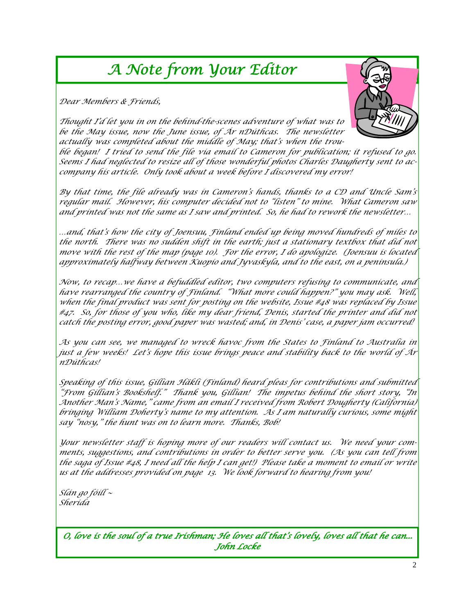# *A Note from Your Editor*

*Dear Members & Friends,* 



*Thought I'd let you in on the behind-the-scenes adventure of what was to be the May issue, now the June issue, of Ár nDúthcas. The newsletter actually was completed about the middle of May; that's when the trou-*

*ble began! I tried to send the file via email to Cameron for publication; it refused to go. Seems I had neglected to resize all of those wonderful photos Charles Daugherty sent to accompany his article. Only took about a week before I discovered my error!* 

*By that time, the file already was in Cameron's hands, thanks to a CD and Uncle Sam's regular mail. However, his computer decided not to "listen" to mine. What Cameron saw and printed was not the same as I saw and printed. So, he had to rework the newsletter…* 

*…and, that's how the city of Joensuu, Finland ended up being moved hundreds of miles to the north. There was no sudden shift in the earth; just a stationary textbox that did not move with the rest of the map (page 10). For the error, I do apologize. (Joensuu is located approximately halfway between Kuopio and Jyvaskyla, and to the east, on a peninsula.)* 

*Now, to recap…we have a befuddled editor, two computers refusing to communicate, and have rearranged the country of Finland. "What more could happen?" you may ask. Well, when the final product was sent for posting on the website, Issue #48 was replaced by Issue #47. So, for those of you who, like my dear friend, Denis, started the printer and did not catch the posting error, good paper was wasted; and, in Denis' case, a paper jam occurred!* 

*As you can see, we managed to wreck havoc from the States to Finland to Australia in just a few weeks! Let's hope this issue brings peace and stability back to the world of Ár nDúthcas!* 

*Speaking of this issue, Gillian Häkli (Finland) heard pleas for contributions and submitted "From Gillian's Bookshelf." Thank you, Gillian! The impetus behind the short story, "In Another Man's Name," came from an email I received from Robert Dougherty (California) bringing William Doherty's name to my attention. As I am naturally curious, some might say "nosy," the hunt was on to learn more. Thanks, Bob!* 

*Your newsletter staff is hoping more of our readers will contact us. We need your comments, suggestions, and contributions in order to better serve you. (As you can tell from the saga of Issue #48, I need all the help I can get!) Please take a moment to email or write us at the addresses provided on page 13. We look forward to hearing from you!* 

*Slán go fóill ~ Sherida* 

*O, love is the soul of a true Irishman; He loves all that's lovely, loves all that he can... John Locke*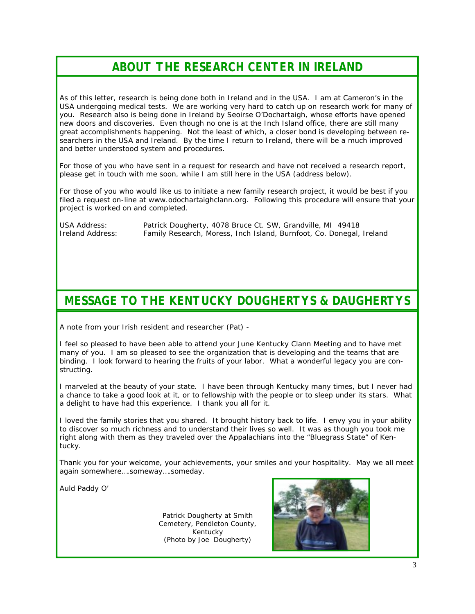# *ABOUT THE RESEARCH CENTER IN IRELAND*

As of this letter, research is being done both in Ireland and in the USA. I am at Cameron's in the USA undergoing medical tests. We are working very hard to catch up on research work for many of you. Research also is being done in Ireland by Seoirse O'Dochartaigh, whose efforts have opened new doors and discoveries. Even though no one is at the Inch Island office, there are still many great accomplishments happening. Not the least of which, a closer bond is developing between researchers in the USA and Ireland. By the time I return to Ireland, there will be a much improved and better understood system and procedures.

For those of you who have sent in a request for research and have not received a research report, please get in touch with me soon, while I am still here in the USA (address below).

For those of you who would like us to initiate a new family research project, it would be best if you filed a request on-line at www.odochartaighclann.org. Following this procedure will ensure that your project is worked on and completed.

USA Address: Patrick Dougherty, 4078 Bruce Ct. SW, Grandville, MI 49418 Ireland Address: Family Research, Moress, Inch Island, Burnfoot, Co. Donegal, Ireland

### *MESSAGE TO THE KENTUCKY DOUGHERTYS & DAUGHERTYS*

A note from your Irish resident and researcher (Pat) -

I feel so pleased to have been able to attend your June Kentucky Clann Meeting and to have met many of you. I am so pleased to see the organization that is developing and the teams that are binding. I look forward to hearing the fruits of your labor. What a wonderful legacy you are constructing.

I marveled at the beauty of your state. I have been through Kentucky many times, but I never had a chance to take a good look at it, or to fellowship with the people or to sleep under its stars. What a delight to have had this experience. I thank you all for it.

I loved the family stories that you shared. It brought history back to life. I envy you in your ability to discover so much richness and to understand their lives so well. It was as though you took me right along with them as they traveled over the Appalachians into the "Bluegrass State" of Kentucky.

Thank you for your welcome, your achievements, your smiles and your hospitality. May we all meet again somewhere….someway….someday.

Auld Paddy O'

Patrick Dougherty at Smith Cemetery, Pendleton County, Kentucky (Photo by Joe Dougherty)

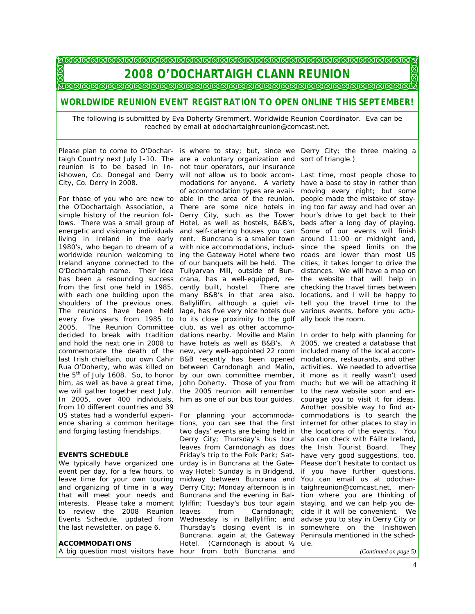### 

*2008 O'DOCHARTAIGH CLANN REUNION* 

### *WORLDWIDE REUNION EVENT REGISTRATION TO OPEN ONLINE THIS SEPTEMBER!*

*The following is submitted by Eva Doherty Gremmert, Worldwide Reunion Coordinator. Eva can be reached by email at odochartaighreunion@comcast.net.* 

City, Co. Derry in 2008.

2005. The Reunion Committee club, as well as other accommofrom 10 different countries and 39 and forging lasting friendships.

#### **EVENTS SCHEDULE**

leave time for your own touring and organizing of time in a way that will meet your needs and interests. Please take a moment to review the 2008 Reunion Events Schedule, updated from the last newsletter, on page 6.

#### **ACCOMMODATIONS**

A big question most visitors have hour from both Buncrana and

Please plan to come to O'Dochar- is where to stay; but, since we Derry City; the three making a taigh Country next July 1-10. The are a voluntary organization and sort of triangle.) reunion is to be based in In-not tour operators, our insurance ishowen, Co. Donegal and Derry will not allow us to book accom-Last time, most people chose to For those of you who are new to able in the area of the reunion. people made the mistake of staythe O'Dochartaigh Association, a There are some nice hotels in ing too far away and had over an simple history of the reunion fol-Derry City, such as the Tower hour's drive to get back to their lows. There was a small group of Hotel, as well as hostels, B&B's, beds after a long day of playing. energetic and visionary individuals and self-catering houses you can Some of our events will finish living in Ireland in the early rent. Buncrana is a smaller town around 11:00 or midnight and, 1980's, who began to dream of a with nice accommodations, includ-since the speed limits on the worldwide reunion welcoming to ing the Gateway Hotel where two roads are lower than most US Ireland anyone connected to the of our banquets will be held. The cities, it takes longer to drive the O'Dochartaigh name. Their idea Tullyarvan Mill, outside of Bun- distances. We will have a map on has been a resounding success crana, has a well-equipped, re- the website that will help in from the first one held in 1985, cently built, hostel. There are checking the travel times between with each one building upon the many B&B's in that area also. locations, and I will be happy to shoulders of the previous ones. Ballyliffin, although a quiet vil-tell you the travel time to the The reunions have been held lage, has five very nice hotels due various events, before you actuevery five years from 1985 to to its close proximity to the golf ally book the room. decided to break with tradition dations nearby. Moville and Malin In order to help with planning for and hold the next one in 2008 to have hotels as well as B&B's. A 2005, we created a database that commemorate the death of the new, very well-appointed 22 room included many of the local accomlast Irish chieftain, our own Cahir B&B recently has been opened modations, restaurants, and other Rua O'Doherty, who was killed on between Carndonagh and Malin, activities. We needed to advertise the 5<sup>th</sup> of July 1608. So, to honor by our own committee member, it more as it really wasn't used him, as well as have a great time, John Doherty. Those of you from much; but we will be attaching it we will gather together next July. the 2005 reunion will remember to the new website soon and en-In 2005, over 400 individuals, him as one of our bus tour guides. courage you to visit it for ideas. modations for anyone. A variety have a base to stay in rather than of accommodation types are avail-moving every night; but some

US states had a wonderful experi-For planning your accommoda-commodations is to search the ence sharing a common heritage tions, you can see that the first internet for other places to stay in We typically have organized one urday is in Buncrana at the Gate- Please don't hesitate to contact us event per day, for a few hours, to way Hotel; Sunday is in Bridgend, if you have further questions. two days' events are being held in the locations of the events. You Derry City; Thursday's bus tour also can check with Fáilte Ireland, leaves from Carndonagh as does the Irish Tourist Board. They Friday's trip to the Folk Park; Sat-have very good suggestions, too. midway between Buncrana and You can email us at odochar-Derry City; Monday afternoon is in taighreunion@comcast.net, men-Buncrana and the evening in Bal-tion where you are thinking of lyliffin; Tuesday's bus tour again staying, and we can help you deleaves from Carndonagh; Wednesday is in Ballyliffin; and advise you to stay in Derry City or Thursday's closing event is in somewhere on the Inishowen Buncrana, again at the Gateway Peninsula mentioned in the sched-Hotel. (Carndonagh is about ½ ule.

Another possible way to find accide if it will be convenient. We

*(Continued on page 5)*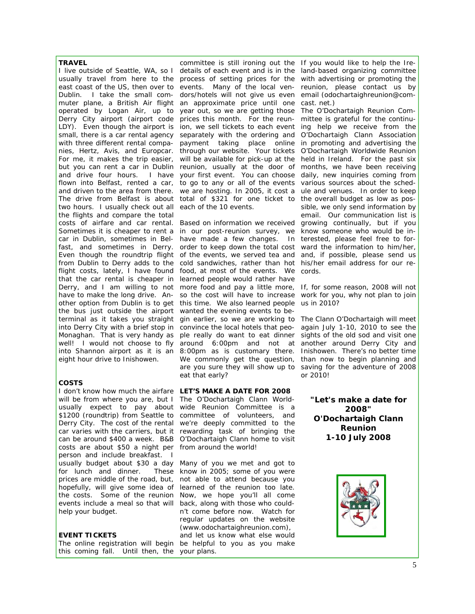#### **TRAVEL**

Derry City airport (airport code prices this month. For the reuntwo hours. I usually check out all each of the 10 events. the flights and compare the total costs of airfare and car rental. Based on information we received growing continually, but if you that the car rental is cheaper in learned people would rather have the bus just outside the airport wanted the evening events to beeight hour drive to Inishowen.

#### **COSTS**

I don't know how much the airfare **LET'S MAKE A DATE FOR 2008**  will be from where you are, but I The O'Dochartaigh Clann Worldcosts are about \$50 a night per from around the world! person and include breakfast. I usually budget about \$30 a day Many of you we met and got to for lunch and dinner. prices are middle of the road, but, not able to attend because you hopefully, will give some idea of learned of the reunion too late. the costs. Some of the reunion Now, we hope you'll all come events include a meal so that will back, along with those who couldhelp your budget.

#### **EVENT TICKETS**

this coming fall. Until then, the your plans.

I live outside of Seattle, WA, so I details of each event and is in the land-based organizing committee usually travel from here to the process of setting prices for the with advertising or promoting the east coast of the US, then over to events. Many of the local ven- reunion, please contact us by Dublin. I take the small com-dors/hotels will not give us even email (odochartaighreunion@commuter plane, a British Air flight an approximate price until one cast. net.) operated by Logan Air, up to year out, so we are getting those The O'Dochartaigh Reunion Com-LDY). Even though the airport is ion, we sell tickets to each event ing help we receive from the small, there is a car rental agency separately with the ordering and O'Dochartaigh Clann Association with three different rental compa- payment taking place online in promoting and advertising the nies, Hertz, Avis, and Europcar. through our website. Your tickets O'Dochartaigh Worldwide Reunion For me, it makes the trip easier, will be available for pick-up at the held in Ireland. For the past six but you can rent a car in Dublin reunion, usually at the door of months, we have been receiving and drive four hours. I have your first event. You can choose daily, new inquiries coming from flown into Belfast, rented a car, to go to any or all of the events various sources about the schedand driven to the area from there. we are hosting. In 2005, it cost a ule and venues. In order to keep The drive from Belfast is about total of \$321 for one ticket to the overall budget as low as poscommittee is still ironing out the If you would like to help the Ire-

Sometimes it is cheaper to rent a in our post-reunion survey, we know someone who would be incar in Dublin, sometimes in Bel-have made a few changes. In terested, please feel free to forfast, and sometimes in Derry. order to keep down the total cost ward the information to him/her, Even though the roundtrip flight of the events, we served tea and and, if possible, please send us from Dublin to Derry adds to the cold sandwiches, rather than hot his/her email address for our reflight costs, lately, I have found food, at most of the events. We cords. Derry, and I am willing to not more food and pay a little more, If, for some reason, 2008 will not have to make the long drive. An- so the cost will have to increase work for you, why not plan to join other option from Dublin is to get this time. We also learned people us in 2010? terminal as it takes you straight gin earlier, so we are working to The Clann O'Dochartaigh will meet into Derry City with a brief stop in convince the local hotels that peo-again July 1-10, 2010 to see the Monaghan. That is very handy as ple really do want to eat dinner sights of the old sod and visit one well! I would not choose to fly around 6:00pm and not at another around Derry City and into Shannon airport as it is an 8:00pm as is customary there. Inishowen. There's no better time We commonly get the question, than now to begin planning and are you sure they will show up to saving for the adventure of 2008 eat that early?

usually expect to pay about wide Reunion Committee is a \$1200 (roundtrip) from Seattle to committee of volunteers, and Derry City. The cost of the rental we're deeply committed to the car varies with the carriers, but it rewarding task of bringing the can be around \$400 a week. B&B O'Dochartaigh Clann home to visit

The online registration will begin be helpful to you as you make These know in 2005; some of you were n't come before now. Watch for regular updates on the website (www.odochartaighreunion.com), and let us know what else would

mittee is grateful for the continusible, we only send information by email. Our communication list is

or 2010!

**"Let's make a date for 2008" O'Dochartaigh Clann Reunion 1-10 July 2008**

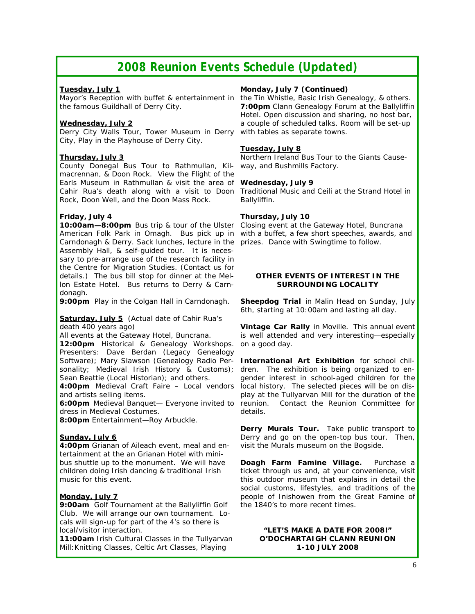## *2008 Reunion Events Schedule (Updated)*

#### *Tuesday, July 1*

Mayor's Reception with buffet & entertainment in the famous Guildhall of Derry City.

#### *Wednesday, July 2*

Derry City Walls Tour, Tower Museum in Derry City, Play in the Playhouse of Derry City.

### *Thursday, July 3*

County Donegal Bus Tour to Rathmullan, Kilmacrennan, & Doon Rock. View the Flight of the Earls Museum in Rathmullan & visit the area of Cahir Rua's death along with a visit to Doon Traditional Music and Ceili at the Strand Hotel in Rock, Doon Well, and the Doon Mass Rock.

### *Friday, July 4*

**10:00am—8:00pm** Bus trip & tour of the Ulster Closing event at the Gateway Hotel, Buncrana American Folk Park in Omagh. Bus pick up in Carndonagh & Derry. Sack lunches, lecture in the prizes. Dance with Swingtime to follow. Assembly Hall, & self-guided tour. It is necessary to pre-arrange use of the research facility in the Centre for Migration Studies. (Contact us for details.) The bus bill stop for dinner at the Mellon Estate Hotel. Bus returns to Derry & Carndonagh.

**9:00pm** Play in the Colgan Hall in Carndonagh.

#### *Saturday, July 5* (*Actual date of Cahir Rua's death 400 years ago*)

All events at the Gateway Hotel, Buncrana.

**12:00pm** Historical & Genealogy Workshops. Presenters: Dave Berdan (Legacy Genealogy Software); Mary Slawson (Genealogy Radio Personality; Medieval Irish History & Customs); Sean Beattie (Local Historian); and others.

**4:00pm** Medieval Craft Faire – Local vendors and artists selling items.

**6:00pm** Medieval Banquet— Everyone invited to dress in Medieval Costumes.

**8:00pm** Entertainment—Roy Arbuckle.

### *Sunday, July 6*

**4:00pm** Grianan of Aileach event, meal and entertainment at the an Grianan Hotel with minibus shuttle up to the monument. We will have children doing Irish dancing & traditional Irish music for this event.

### *Monday, July 7*

**9:00am** Golf Tournament at the Ballyliffin Golf Club. We will arrange our own tournament. Locals will sign-up for part of the 4's so there is local/visitor interaction.

**11:00am** Irish Cultural Classes in the Tullyarvan Mill:Knitting Classes, Celtic Art Classes, Playing

#### *Monday, July 7 (Continued)*

the Tin Whistle, Basic Irish Genealogy, & others. **7:00pm** Clann Genealogy Forum at the Ballyliffin Hotel. Open discussion and sharing, no host bar, a couple of scheduled talks. Room will be set-up with tables as separate towns.

#### *Tuesday, July 8*

Northern Ireland Bus Tour to the Giants Causeway, and Bushmills Factory.

#### *Wednesday, July 9*

Ballyliffin.

#### *Thursday, July 10*

with a buffet, a few short speeches, awards, and

#### **OTHER EVENTS OF INTEREST IN THE SURROUNDING LOCALITY**

**Sheepdog Trial** in Malin Head on Sunday, July 6th, starting at 10:00am and lasting all day.

**Vintage Car Rally** in Moville. This annual event is well attended and very interesting—especially on a good day.

**International Art Exhibition** for school children. The exhibition is being organized to engender interest in school-aged children for the local history. The selected pieces will be on display at the Tullyarvan Mill for the duration of the Contact the Reunion Committee for details.

**Derry Murals Tour.** Take public transport to Derry and go on the open-top bus tour. Then, visit the Murals museum on the Bogside.

**Doagh Farm Famine Village.** Purchase a ticket through us and, at your convenience, visit this outdoor museum that explains in detail the social customs, lifestyles, and traditions of the people of Inishowen from the Great Famine of the 1840's to more recent times.

#### *"LET'S MAKE A DATE FOR 2008!"*  **O'DOCHARTAIGH CLANN REUNION 1-10 JULY 2008**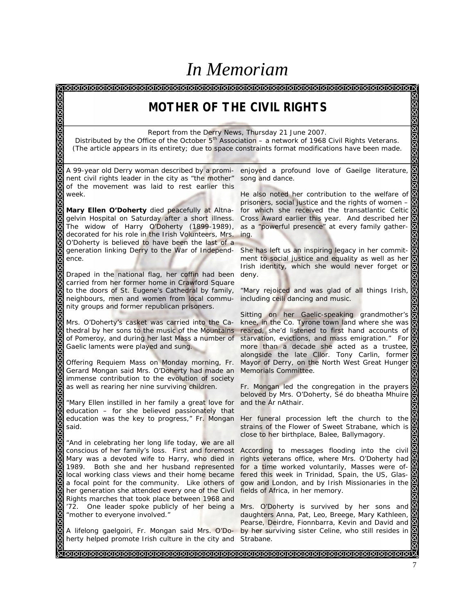# *In Memoriam*

<u> ଗ୍ରେଗରାରାରାରାରାରାରାରାରାରାରାରା</u> ଗେଗଗଗଗଗଗଗଗଗଗଗଗଗ *MOTHER OF THE CIVIL RIGHTS Report from the Derry News, Thursday 21 June 2007. Distributed by the Office of the October 5th Association – a network of 1968 Civil Rights Veterans. (The article appears in its entirety; due to space constraints format modifications have been made.* A 99-year old Derry woman described by a promienjoyed a profound love of Gaeilge literature, nent civil rights leader in the city as "the mother" song and dance. of the movement was laid to rest earlier this week. He also noted her contribution to the welfare of prisoners, social justice and the rights of women – *Mary Ellen O'Doherty* died peacefully at Altnafor which she received the transatlantic Celtic gelvin Hospital on Saturday after a short illness. Cross Award earlier this year. And described her The widow of Harry O'Doherty (1899-1989), as a "powerful presence" at every family gatherdecorated for his role in the Irish Volunteers, Mrs. ing. O'Doherty is believed to have been the last of a generation linking Derry to the War of Independ-She has left us an inspiring legacy in her commitence. ment to social justice and equality as well as her Irish identity, which she would never forget or Draped in the national flag, her coffin had been deny. carried from her former home in Crawford Square to the doors of St. Eugene's Cathedral by family, "Mary rejoiced and was glad of all things Irish, neighbours, men and women from local commuincluding ceili dancing and music. nity groups and former republican prisoners. Sitting on her Gaelic-speaking grandmother's Mrs. O'Doherty's casket was carried into the Ca-knee, in the Co. Tyrone town land where she was reared, she'd listened to first hand accounts of thedral by her sons to the music of the Mountains starvation, evictions, and mass emigration." For of Pomeroy, and during her last Mass a number of Gaelic laments were played and sung. more than a decade she acted as a trustee, alongside the late Cllor. Tony Carlin, former Offering Requiem Mass on Monday morning, Fr. Mayor of Derry, on the North West Great Hunger Gerard Mongan said Mrs. O'Doherty had made an Memorials Committee. immense contribution to the evolution of society as well as rearing her nine surviving children. Fr. Mongan led the congregation in the prayers beloved by Mrs. O'Doherty, Sé do bheatha Mhuire "Mary Ellen instilled in her family a great love for and the Ár nAthair. education – for she believed passionately that education was the key to progress," Fr. Mongan Her funeral procession left the church to the Her funeral procession left the church to the said. strains of the Flower of Sweet Strabane, which is close to her birthplace, Balee, Ballymagory. "And in celebrating her long life today, we are all conscious of her family's loss. First and foremost According to messages flooding into the civil Mary was a devoted wife to Harry, who died in rights veterans office, where Mrs. O'Doherty had 1989. Both she and her husband represented for a time worked voluntarily, Masses were oflocal working class views and their home became fered this week in Trinidad, Spain, the US, Glasa focal point for the community. Like others of gow and London, and by Irish Missionaries in the her generation she attended every one of the Civil fields of Africa, in her memory. Rights marches that took place between 1968 and '72. One leader spoke publicly of her being a Mrs. O'Doherty is survived by her sons and "mother to everyone involved." daughters Anna, Pat, Leo, Breege, Mary Kathleen, Pearse, Deirdre, Fionnbarra, Kevin and David and A lifelong gaelgoiri, Fr. Mongan said Mrs. O'Do-by her surviving sister Celine, who still resides in herty helped promote Irish culture in the city and Strabane. 7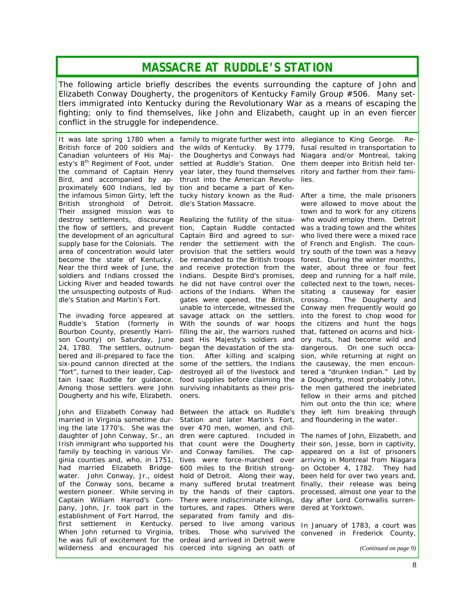### *MASSACRE AT RUDDLE'S STATION*

*The following article briefly describes the events surrounding the capture of John and Elizabeth Conway Dougherty, the progenitors of Kentucky Family Group #506. Many settlers immigrated into Kentucky during the Revolutionary War as a means of escaping the fighting; only to find themselves, like John and Elizabeth, caught up in an even fiercer conflict in the struggle for independence.* 

Canadian volunteers of His Majesty's 8<sup>th</sup> Regiment of Foot, under the command of Captain Henry Bird, and accompanied by approximately 600 Indians, led by tion and became a part of Ken-British stronghold of Detroit. dle's Station Massacre. Their assigned mission was to destroy settlements, discourage Realizing the futility of the situa-who would employ them. Detroit dle's Station and Martin's Fort.

Dougherty and his wife, Elizabeth. oners.

ing the late 1770's. She was the over 470 men, women, and chilestablishment of Fort Harrod, the separated from family and disfirst settlement in Kentucky. When John returned to Virginia, he was full of excitement for the ordeal and arrived in Detroit were wilderness and encouraged his coerced into signing an oath of

It was late spring 1780 when a family to migrate further west into allegiance to King George. Re-British force of 200 soldiers and the wilds of Kentucky. By 1779, fusal resulted in transportation to the infamous Simon Girty, left the tucky history known as the Rud- After a time, the male prisoners the Doughertys and Conways had settled at Ruddle's Station. One year later, they found themselves thrust into the American Revolu-

the flow of settlers, and prevent tion, Captain Ruddle contacted was a trading town and the whites the development of an agricultural Captain Bird and agreed to sur-who lived there were a mixed race supply base for the Colonials. The render the settlement with the of French and English. The counarea of concentration would later provision that the settlers would try south of the town was a heavy become the state of Kentucky. be remanded to the British troops forest. During the winter months, Near the third week of June, the and receive protection from the water, about three or four feet soldiers and Indians crossed the Indians. Despite Bird's promises, deep and running for a half mile, Licking River and headed towards he did not have control over the collected next to the town, necesthe unsuspecting outposts of Rud- actions of the Indians. When the sitating a causeway for easier The invading force appeared at savage attack on the settlers. into the forest to chop wood for Ruddle's Station (formerly in With the sounds of war hoops the citizens and hunt the hogs Bourbon County, presently Harri- filling the air, the warriors rushed that, fattened on acorns and hickson County) on Saturday, June past His Majesty's soldiers and ory nuts, had become wild and 24, 1780. The settlers, outnum-began the devastation of the sta-dangerous. On one such occabered and ill-prepared to face the tion. After killing and scalping sion, while returning at night on six-pound cannon directed at the some of the settlers, the Indians the causeway, the men encoun-"fort", turned to their leader, Cap-destroyed all of the livestock and tered a "drunken Indian." Led by tain Isaac Ruddle for guidance. food supplies before claiming the a Dougherty, most probably John, Among those settlers were John surviving inhabitants as their pris- the men gathered the inebriated gates were opened, the British, crossing. unable to intercede, witnessed the Conway men frequently would go

John and Elizabeth Conway had Between the attack on Ruddle's they left him breaking through married in Virginia sometime dur-Station and later Martin's Fort, and floundering in the water. daughter of John Conway, Sr., an dren were captured. Included in The names of John, Elizabeth, and Irish immigrant who supported his that count were the Dougherty their son, Jesse, born in captivity, family by teaching in various Vir- and Conway families. The cap- appeared on a list of prisoners ginia counties and, who, in 1751, tives were force-marched over arriving in Montreal from Niagara had married Elizabeth Bridge- 600 miles to the British strong- on October 4, 1782. They had water. John Conway, Jr., oldest hold of Detroit. Along their way, been held for over two years and, of the Conway sons, became a many suffered brutal treatment finally, their release was being western pioneer. While serving in by the hands of their captors. processed, almost one year to the Captain William Harrod's Com-There were indiscriminate killings, day after Lord Cornwallis surrenpany, John, Jr. took part in the tortures, and rapes. Others were dered at Yorktown. persed to live among various tribes. Those who survived the

Niagara and/or Montreal, taking them deeper into British held territory and farther from their families.

were allowed to move about the town and to work for any citizens The Dougherty and fellow in their arms and pitched him out onto the thin ice; where

In January of 1783, a court was convened in Frederick County,

*(Continued on page 9)*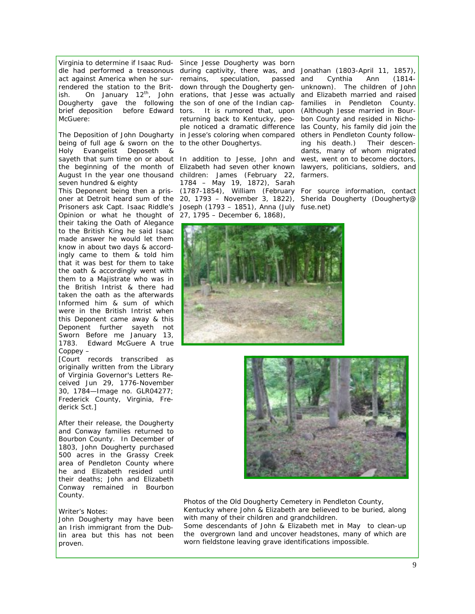McGuere:

*being of full age & sworn on the to the other Doughertys. Holy Evangelist Deposeth & seven hundred & eighty* 

*Opinion or what he thought of 27, 1795 – December 6, 1868), their taking the Oath of Alegance to the British King he said Isaac made answer he would let them know in about two days & accordingly came to them & told him that it was best for them to take the oath & accordingly went with them to a Majistrate who was in the British Intrist & there had taken the oath as the afterwards Informed him & sum of which were in the British Intrist when this Deponent came away & this Deponent further sayeth not Sworn Before me January 13, 1783. Edward McGuere A true Coppey –* 

*[Court records transcribed as originally written from the Library of Virginia Governor's Letters Received Jun 29, 1776-November 30, 1784—Image no. GLR04277; Frederick County, Virginia, Frederick Sct.]* 

After their release, the Dougherty and Conway families returned to Bourbon County. In December of 1803, John Dougherty purchased 500 acres in the Grassy Creek area of Pendleton County where he and Elizabeth resided until their deaths; John and Elizabeth Conway remained in Bourbon County.

#### *Writer's Notes:*

*John Dougherty may have been an Irish immigrant from the Dublin area but this has not been proven.* 

Virginia to determine if Isaac Rud-*Since Jesse Dougherty was born*  dle had performed a treasonous *during captivity, there was, and Jonathan (1803-April 11, 1857),*  act against America when he sur-*remains, speculation, passed*  rendered the station to the Brit-*down through the Dougherty gen-unknown). The children of John*  ish. On January 12<sup>th</sup>, John *erations, that Jesse was actually and Elizabeth married and raised* Dougherty gave the following *the son of one of the Indian cap-families in Pendleton County.*  brief deposition before Edward tors. It is rumored that, upon (Although Jesse married in Bour-*The Deposition of John Dougharty in Jesse's coloring when compared others in Pendleton County followreturning back to Kentucky, peo-bon County and resided in Nichople noticed a dramatic difference las County, his family did join the* 

*sayeth that sum time on or about In addition to Jesse, John and west, went on to become doctors, the beginning of the month of Elizabeth had seven other known lawyers, politicians, soldiers, and August In the year one thousand children: James (February 22, farmers. This Deponent being then a pris-(1787-1854), William (February For source information, contact oner at Detroit heard sum of the 20, 1793 – November 3, 1822), Sherida Dougherty (Dougherty@ Prisoners ask Capt. Isaac Riddle's Joseph (1793 – 1851), Anna (July fuse.net) 1784 – May 19, 1872), Sarah* 

*and Cynthia Ann (1814 ing his death.) Their descendants, many of whom migrated* 





Photos of the Old Dougherty Cemetery in Pendleton County, Kentucky where John & Elizabeth are believed to be buried, along with many of their children and grandchildren.

Some descendants of John & Elizabeth met in May to clean-up the overgrown land and uncover headstones, many of which are worn fieldstone leaving grave identifications impossible.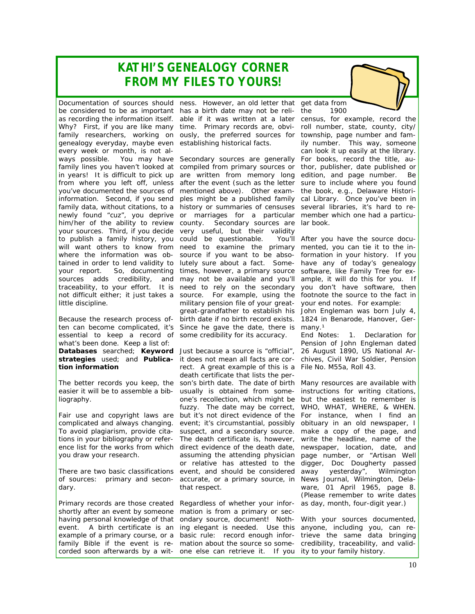## *KATHI'S GENEALOGY CORNER FROM MY FILES TO YOURS!*

be considered to be as important has a birth date may not be relias recording the information itself. able if it was written at a later Why? First, if you are like many time. Primary records are, obvifamily researchers, working on ously, the preferred sources for genealogy everyday, maybe even establishing historical facts. every week or month, is not alyour sources. Third, if you decide very useful, but their validity to publish a family history, you could be questionable. You'll little discipline.

essential to keep a record of some credibility for its accuracy. what's been done. Keep a list of: **tion information** 

easier it will be to assemble a bibliography.

complicated and always changing. To avoid plagiarism, provide citayou draw your research.

dary.

Primary records are those created Regardless of whether your inforshortly after an event by someone having personal knowledge of that example of a primary course, or a basic rule: record enough inforfamily *Bible* if the event is re-mation about the source so somecorded soon afterwards by a wit- one else can retrieve it. If you ity to your family history.

Documentation of sources should ness. However, an old letter that get data from

ways possible. You may have Secondary sources are generally For books, record the title, aufamily lines you haven't looked at compiled from primary sources or thor, publisher, date published or in years! It is difficult to pick up are written from memory long edition, and page number. Be from where you left off, unless after the event (such as the letter sure to include where you found you've documented the sources of mentioned above). Other exam-the book, e.g., Delaware Historiinformation. Second, if you send ples might be a published family cal Library. Once you've been in family data, without citations, to a history or summaries of censuses several libraries, it's hard to renewly found "cuz", you deprive or marriages for a particular member which one had a particuhim/her of the ability to review county. Secondary sources are lar book. will want others to know from need to examine the primary mented, you can tie it to the inwhere the information was ob-source if you want to be abso-formation in your history. If you tained in order to lend validity to lutely sure about a fact. Some- have any of today's genealogy your report. So, documenting times, however, a primary source software, like Family Tree for exsources adds credibility, and may not be available and you'll ample, it will do this for you. If traceability, to your effort. It is need to rely on the secondary you don't have software, then not difficult either; it just takes a source. For example, using the footnote the source to the fact in Because the research process of- birth date if no birth record exists. 1824 in Benarode, Hanover, Gerten can become complicated, it's Since he gave the date, there is military pension file of your great-your end notes. For example: great-grandfather to establish his John Engleman was born July 4,

Databases searched; Keyword Just because a source is "official", 26 August 1890, US National Ar**strategies** used; and **Publica-**it does not mean all facts are cor-chives, Civil War Soldier, Pension The better records you keep, the son's birth date. The date of birth Many resources are available with Fair use and copyright laws are but it's not direct evidence of the For instance, when I find an tions in your bibliography or refer-The death certificate is, however, write the headline, name of the ence list for the works from which direct evidence of the death date, newspaper, location, date, and There are two basic classifications event, and should be considered away yesterday", *Wilmington*  of sources: primary and secon-accurate, or a primary source, in *News Journal*, Wilmington, Delarect. A great example of this is a File No. M55a, Roll 43. death certificate that lists the perusually is obtained from some-instructions for writing citations, one's recollection, which might be but the easiest to remember is fuzzy. The date may be correct, WHO, WHAT, WHERE, & WHEN. event; it's circumstantial, possibly obituary in an old newspaper, I suspect, and a secondary source. make a copy of the page, and assuming the attending physician page number, or "Artisan Well or relative has attested to the digger, Doc Dougherty passed that respect.

event. A birth certificate is an ing elegant is needed. Use this anyone, including you, can remation is from a primary or secondary source, document! Noth-With your sources documented,

the 1900

census, for example, record the roll number, state, county, city/ township, page number and family number. This way, someone can look it up easily at the library.

You'll After you have the source docu-

many.<sup>1</sup> End Notes: 1. Declaration for Pension of John Engleman dated

ware, 01 April 1965, page 8. (Please remember to write dates as day, month, four-digit year.)

trieve the same data bringing credibility, traceability, and valid-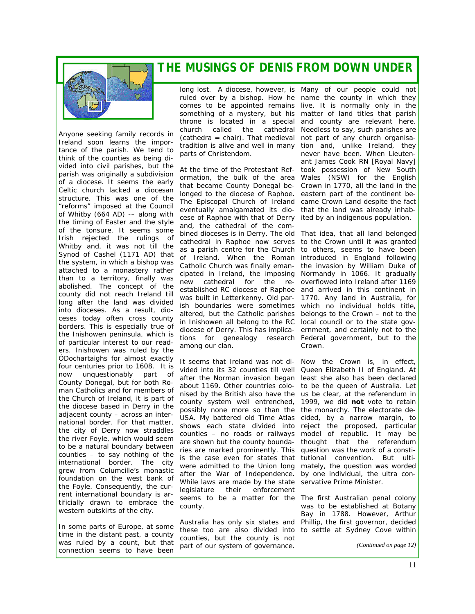### *THE MUSINGS OF DENIS FROM DOWN UNDER*



Anyone seeking family records in Ireland soon learns the importance of the parish. We tend to think of the counties as being divided into civil parishes, but the parish was originally a subdivision of a diocese. It seems the early Celtic church lacked a diocesan structure. This was one of the "reforms" imposed at the Council of Whitby (664 AD) -– along with the timing of Easter and the style of the tonsure. It seems some Irish rejected the rulings of Whitby and, it was not till the Synod of Cashel (1171 AD) that the system, in which a bishop was attached to a monastery rather than to a territory, finally was abolished. The concept of the county did not reach Ireland till long after the land was divided into dioceses. As a result, dioceses today often cross county borders. This is especially true of the Inishowen peninsula, which is of particular interest to our readers. Inishowen was ruled by the ÓDochartaighs for almost exactly four centuries prior to 1608. It is now unquestionably part of County Donegal, but for both Roman Catholics and for members of the Church of Ireland, it is part of the diocese based in Derry in the adjacent county – across an international border. For that matter, the city of Derry now straddles the river Foyle, which would seem to be a natural boundary between counties – to say nothing of the international border. The city grew from Columcille's monastic foundation on the west bank of the Foyle. Consequently, the current international boundary is artificially drawn to embrace the western outskirts of the city.

In some parts of Europe, at some time in the distant past, a county was ruled by a count, but that connection seems to have been

long lost. A diocese, however, is Many of our people could not ruled over by a bishop. How he name the county in which they comes to be appointed remains live. It is normally only in the something of a mystery, but his matter of land titles that parish throne is located in a special and county are relevant here. church called the cathedral Needless to say, such parishes are (cathedra = chair). That medieval not part of any church organisatradition is alive and well in many tion and, unlike Ireland, they parts of Christendom.

At the time of the Protestant Ref-took possession of New South ormation, the bulk of the area Wales (NSW) for the English that became County Donegal be-Crown in 1770, all the land in the longed to the diocese of Raphoe. eastern part of the continent be-The Episcopal Church of Ireland came Crown Land despite the fact eventually amalgamated its dio- that the land was already inhabcese of Raphoe with that of Derry ited by an indigenous population. and, the cathedral of the combined dioceses is in Derry. The old That idea, that all land belonged cathedral in Raphoe now serves to the Crown until it was granted as a parish centre for the Church of Ireland. When the Roman Catholic Church was finally eman-the invasion by William Duke of cipated in Ireland, the imposing Normandy in 1066. It gradually new cathedral for the re-overflowed into Ireland after 1169 established RC diocese of Raphoe and arrived in this continent in was built in Letterkenny. Old par-1770. Any land in Australia, for ish boundaries were sometimes which no individual holds title, altered, but the Catholic parishes belongs to the Crown – not to the in Inishowen all belong to the RC local council or to the state govdiocese of Derry. This has implica-ernment, and certainly not to the tions for genealogy research Federal government, but to the among our clan.

It seems that Ireland was not di-Now the Crown is, in effect, vided into its 32 counties till well Queen Elizabeth II of England. At after the Norman invasion began least she also has been declared about 1169. Other countries colo-to be the queen of Australia. Let nised by the British also have the us be clear, at the referendum in county system well entrenched, 1999, we did **not** vote to retain possibly none more so than the the monarchy. The electorate de-USA. My battered old Time Atlas cided, by a narrow margin, to shows each state divided into reject the proposed, particular counties – no roads or railways model of republic. It may be are shown but the county bounda-thought that the referendum ries are marked prominently. This question was the work of a constiis the case even for states that tutional convention. But ultiwere admitted to the Union long mately, the question was worded after the War of Independence. by one individual, the ultra con-While laws are made by the state servative Prime Minister. legislature their enforcement seems to be a matter for the The first Australian penal colony county.

Australia has only six states and Phillip, the first governor, decided these too are also divided into to settle at Sydney Cove within counties, but the county is not part of our system of governance.

never have been. When Lieutenant James Cook RN *[Royal Navy]*

to others, seems to have been introduced in England following Crown.

was to be established at Botany Bay in 1788. However, Arthur

*(Continued on page 12)*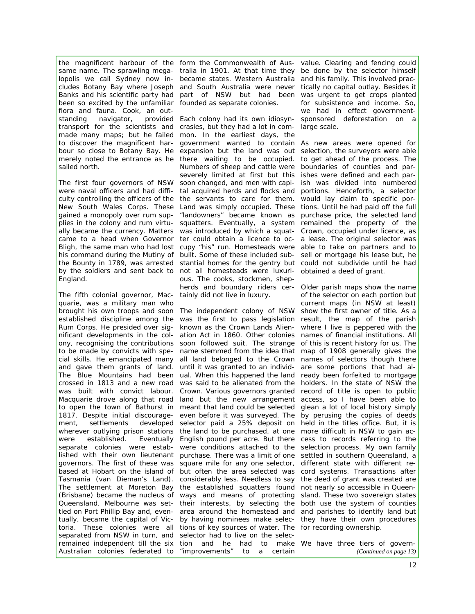been so excited by the unfamiliar founded as separate colonies. flora and fauna. Cook, an outstanding navigator, sailed north.

England.

The fifth colonial governor, Macquarie, was a military man who were established. (Brisbane) became the nucleus of ways and means of protecting Queensland. Melbourne was set-their interests, by selecting the tled on Port Phillip Bay and, even-area around the homestead and tually, became the capital of Vic-by having nominees make selecseparated from NSW in turn, and selector had to live on the selec-Australian colonies federated to "improvements"

the magnificent harbour of the form the Commonwealth of Aus-value. Clearing and fencing could same name. The sprawling mega- tralia in 1901. At that time they be done by the selector himself lopolis we call Sydney now in- became states. Western Australia and his family. This involved praccludes Botany Bay where Joseph and South Australia were never tically no capital outlay. Besides it Banks and his scientific party had part of NSW but had been was urgent to get crops planted

transport for the scientists and crasies, but they had a lot in com-large scale. made many maps; but he failed mon. In the earliest days, the to discover the magnificent har- government wanted to contain As new areas were opened for bour so close to Botany Bay. He expansion but the land was out selection, the surveyors were able merely noted the entrance as he there waiting to be occupied. to get ahead of the process. The The first four governors of NSW soon changed, and men with capi-ish was divided into numbered were naval officers and had diffi- tal acquired herds and flocks and portions. Henceforth, a selector culty controlling the officers of the the servants to care for them. would lay claim to specific por-New South Wales Corps. These Land was simply occupied. These tions. Until he had paid off the full gained a monopoly over rum sup-"landowners" became known as purchase price, the selected land plies in the colony and rum virtu- squatters. Eventually, a system remained the property of the ally became the currency. Matters was introduced by which a squat-Crown, occupied under licence, as came to a head when Governor ter could obtain a licence to oc- a lease. The original selector was Bligh, the same man who had lost cupy "his" run. Homesteads were able to take on partners and to his command during the Mutiny of built. Some of these included sub- sell or mortgage his lease but, he the *Bounty* in 1789, was arrested stantial homes for the gentry but could not subdivide until he had by the soldiers and sent back to not all homesteads were luxuri- obtained a deed of grant. Each colony had its own idiosyn-sponsored deforestation on a Numbers of sheep and cattle were boundaries of counties and parseverely limited at first but this ishes were defined and each parous. The cooks, stockmen, shepherds and boundary riders cer-Older parish maps show the name tainly did not live in luxury.

brought his own troops and soon The independent colony of NSW show the first owner of title. As a established discipline among the was the first to pass legislation result, the map of the parish Rum Corps. He presided over sig- known as the Crown Lands Alien- where I live is peppered with the nificant developments in the col- ation Act in 1860. Other colonies names of financial institutions. All ony, recognising the contributions soon followed suit. The strange of this is recent history for us. The to be made by convicts with spe-name stemmed from the idea that map of 1908 generally gives the cial skills. He emancipated many all land belonged to the Crown names of selectors though there and gave them grants of land. until it was granted to an individ- are some portions that had al-The Blue Mountains had been ual. When this happened the land ready been forfeited to mortgage crossed in 1813 and a new road was said to be alienated from the holders. In the state of NSW the was built with convict labour. Crown. Various governors granted record of title is open to public Macquarie drove along that road land but the new arrangement access, so I have been able to to open the town of Bathurst in meant that land could be selected glean a lot of local history simply 1817. Despite initial discourage-even before it was surveyed. The by perusing the copies of deeds ment, settlements developed selector paid a 25% deposit on held in the titles office. But, it is wherever outlying prison stations the land to be purchased, at one more difficult in NSW to gain acseparate colonies were estab- were conditions attached to the selection process. My own family lished with their own lieutenant purchase. There was a limit of one settled in southern Queensland, a governors. The first of these was square mile for any one selector, different state with different rebased at Hobart on the island of but often the area selected was cord systems. Transactions after Tasmania (van Dieman's Land). considerably less. Needless to say the deed of grant was created are The settlement at Moreton Bay the established squatters found not nearly so accessible in Queentoria. These colonies were all tions of key sources of water. The for recording ownership. remained independent till the six tion and he had to make We have three tiers of govern-English pound per acre. But there cess to records referring to the to a certain

for subsistence and income. So, we had in effect government-

of the selector on each portion but current maps (in NSW at least) sland. These two sovereign states both use the system of counties and parishes to identify land but they have their own procedures

*(Continued on page 13)*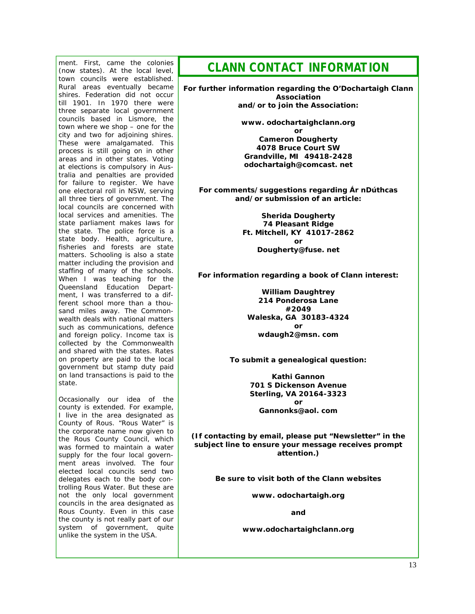ment. First, came the colonies (now states). At the local level, town councils were established. Rural areas eventually became shires. Federation did not occur till 1901. In 1970 there were three separate local government councils based in Lismore, the town where we shop – one for the city and two for adjoining shires. These were amalgamated. This process is still going on in other areas and in other states. Voting at elections is compulsory in Australia and penalties are provided for failure to register. We have one electoral roll in NSW, serving all three tiers of government. The local councils are concerned with local services and amenities. The state parliament makes laws for the state. The police force is a state body. Health, agriculture, fisheries and forests are state matters. Schooling is also a state matter including the provision and staffing of many of the schools. When I was teaching for the Queensland Education Department, I was transferred to a different school more than a thousand miles away. The Commonwealth deals with national matters such as communications, defence and foreign policy. Income tax is collected by the Commonwealth and shared with the states. Rates on property are paid to the local government but stamp duty paid on land transactions is paid to the state.

Occasionally our idea of the county is extended. For example, I live in the area designated as County of Rous. "Rous Water" is the corporate name now given to the Rous County Council, which was formed to maintain a water supply for the four local government areas involved. The four elected local councils send two delegates each to the body controlling Rous Water. But these are not the only local government councils in the area designated as Rous County. Even in this case the county is not really part of our system of government, quite unlike the system in the USA.

### *CLANN CONTACT INFORMATION*

**For further information regarding the O'Dochartaigh Clann Association and/or to join the Association:** 

> **www. odochartaighclann.org or Cameron Dougherty 4078 Bruce Court SW Grandville, MI 49418-2428 odochartaigh@comcast. net**

**For comments/suggestions regarding** *Ár nDúthcas*  **and/or submission of an article:** 

> **Sherida Dougherty 74 Pleasant Ridge Ft. Mitchell, KY 41017-2862 or Dougherty@fuse. net**

**For information regarding a book of Clann interest:** 

**William Daughtrey 214 Ponderosa Lane #2049 Waleska, GA 30183-4324 or wdaugh2@msn. com** 

**To submit a genealogical question:** 

**Kathi Gannon 701 S Dickenson Avenue Sterling, VA 20164-3323 or Gannonks@aol. com** 

**(If contacting by email, please put "Newsletter" in the subject line to ensure your message receives prompt attention.)** 

**Be sure to visit both of the Clann websites** 

**www. odochartaigh.org** 

**and** 

**www.odochartaighclann.org**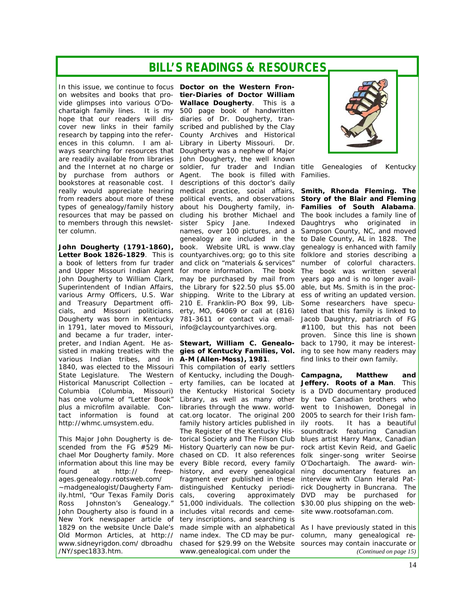### *BILL'S READINGS & RESOURCES*

hope that our readers will dis- diaries of Dr. Dougherty, trancover new links in their family research by tapping into the referter column.

Dougherty was born in Kentucky in 1791, later moved to Missouri, and became a fur trader, interpreter, and Indian Agent. He as-**Stewart, William C.** *Genealo-*back to 1790, it may be interestsisted in making treaties with the *gies of Kentucky Families, Vol.*  ing to see how many readers may various Indian tribes, and in *A-M (Allen-Moss), 1981.* http://whmc.umsystem.edu.

found at http:// freepages.genealogy.rootsweb.com/ ily.html, "*Our Texas Family Doris*  John Dougherty also is found in a New York newspaper article of tery inscriptions, and searching is /NY/spec1833.htm.

In this issue, we continue to focus *Doctor on the Western Fron*on websites and books that pro-*tier-Diaries of Doctor William*  vide glimpses into various O'Do-*Wallace Dougherty.* This is a chartaigh family lines. It is my 500 page book of handwritten ences in this column. I am al-Library in Liberty Missouri. Dr. ways searching for resources that Dougherty was a nephew of Major are readily available from libraries John Dougherty, the well known and the Internet at no charge or soldier, fur trader and Indian title Genealogies of Kentucky by purchase from authors or Agent. The book is filled with *Families.* bookstores at reasonable cost. I descriptions of this doctor's daily really would appreciate hearing medical practice, social affairs, **Smith, Rhonda Fleming.** *The*  from readers about more of these political events, and observations *Story of the Blair and Fleming*  types of genealogy/family history about his Dougherty family, in- Families of South Alabama. resources that may be passed on cluding his brother Michael and The book includes a family line of to members through this newslet-sister Spicy Jane. Indexed John Dougherty (1791-1860), book. Website URL is www.clay genealogy is enhanced with family Letter Book 1826-1829. This is countyarchives.org; go to this site folklore and stories describing a a book of letters from fur trader and click on "materials & services" number of colorful characters. and Upper Missouri Indian Agent for more information. The book The book was written several John Dougherty to William Clark, may be purchased by mail from years ago and is no longer avail-Superintendent of Indian Affairs, the Library for \$22.50 plus \$5.00 able, but Ms. Smith is in the procvarious Army Officers, U.S. War shipping. Write to the Library at ess of writing an updated version. and Treasury Department offi-210 E. Franklin-PO Box 99, Lib-Some researchers have specucials, and Missouri politicians. erty, MO, 64069 or call at (816) lated that this family is linked to scribed and published by the Clay County Archives and Historical names, over 100 pictures, and a Sampson County, NC, and moved genealogy are included in the to Dale County, AL in 1828. The 781-3611 or contact via emailinfo@claycountyarchives.org.

1840, was elected to the Missouri This compilation of early settlers State Legislature. The Western of Kentucky, including the Dough- Campagna, Matthew and Historical Manuscript Collection – erty families, can be located at **Jeffery.** *Roots of a Man.* This Columbia (Columbia, Missouri) the Kentucky Historical Society is a DVD documentary produced has one volume of "Letter Book" Library, as well as many other by two Canadian brothers who plus a microfilm available. Con-libraries through the www. world-went to Inishowen, Donegal in tact information is found at cat.org locator. The original 200 2005 to search for their Irish fam-This Major John Dougherty is de-*torical Society* and *The Filson Club*  blues artist Harry Manx, Canadian scended from the FG #529 Mi-*History Quarterly* can now be pur-rock artist Kevin Reid, and Gaelic chael Mor Dougherty family. More chased on CD. It also references folk singer-song writer Seoirse information about this line may be every Bible record, every family O'Dochartaigh. The award- win-~madgenealogist/Daugherty Fam- distinguished Kentucky periodi- rick Dougherty in Buncrana. The Ross Johnston's Genealogy. " 51,000 individuals. The collection \$30.00 plus shipping on the web-1829 on the website *Uncle Dale's* made simple with an alphabetical As I have previously stated in this *Old Mormon Articles,* at http:// name index. The CD may be pur-column, many genealogical rewww.sidneyrigdon.com/dbroadhu chased for \$29.99 on the Website sources may contain inaccurate or family history articles published in ily roots. *The Register of the Kentucky His-*soundtrack featuring Canadian history, and every genealogical ning documentary features an fragment ever published in these interview with Clann Herald Patcals, covering approximately DVD may be purchased for includes vital records and ceme-site www.rootsofaman.com. www.genealogical.com under the



Indexed Daughtrys who originated in Jacob Daughtry, patriarch of FG #1100, but this has not been proven. Since this line is shown find links to their own family.

It has a beautiful

*(Continued on page 15)*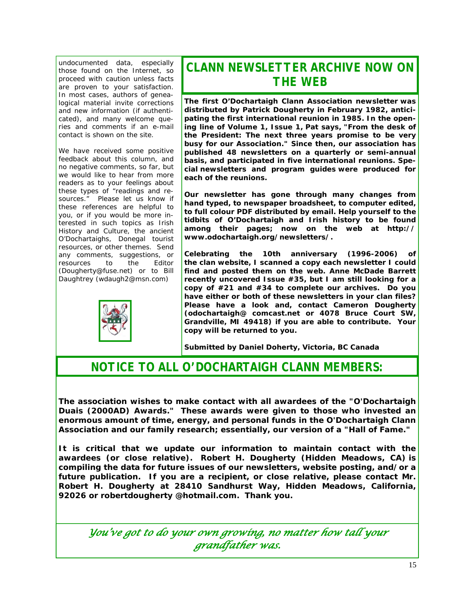undocumented data, especially those found on the Internet, so proceed with caution unless facts are proven to your satisfaction. In most cases, authors of genealogical material invite corrections and new information (if authenticated), and many welcome queries and comments if an e-mail contact is shown on the site.

We have received some positive feedback about this column, and no negative comments, so far, but we would like to hear from more readers as to your feelings about these types of "readings and resources." Please let us know if these references are helpful to you, or if you would be more interested in such topics as Irish History and Culture, the ancient O'Dochartaighs, Donegal tourist resources, or other themes. Send any comments, suggestions, or<br>resources to the Editor resources to the (Dougherty@fuse.net) or to Bill Daughtrey (wdaugh2@msn.com)



# *CLANN NEWSLETTER ARCHIVE NOW ON THE WEB*

**The first O'Dochartaigh Clann Association newsletter was distributed by Patrick Dougherty in February 1982, anticipating the first international reunion in 1985. In the opening line of Volume 1, Issue 1, Pat says, "From the desk of the President: The next three years promise to be very busy for our Association." Since then, our association has published 48 newsletters on a quarterly or semi-annual basis, and participated in five international reunions. Special newsletters and program guides were produced for each of the reunions.** 

**Our newsletter has gone through many changes from hand typed, to newspaper broadsheet, to computer edited, to full colour PDF distributed by email. Help yourself to the tidbits of O'Dochartaigh and Irish history to be found among their pages; now on the web at http:// www.odochartaigh.org/newsletters/.** 

**Celebrating the 10th anniversary (1996-2006) of the clan website, I scanned a copy each newsletter I could find and posted them on the web. Anne McDade Barrett recently uncovered Issue #35, but I am still looking for a copy of #21 and #34 to complete our archives. Do you have either or both of these newsletters in your clan files? Please have a look and, contact Cameron Dougherty (odochartaigh@ comcast.net or 4078 Bruce Court SW, Grandville, MI 49418) if you are able to contribute. Your copy will be returned to you.** 

*Submitted by Daniel Doherty, Victoria, BC Canada* 

### *NOTICE TO ALL O'DOCHARTAIGH CLANN MEMBERS:*

**The association wishes to make contact with all awardees of the "O'Dochartaigh Duais (2000AD) Awards." These awards were given to those who invested an enormous amount of time, energy, and personal funds in the O'Dochartaigh Clann Association and our family research; essentially, our version of a "Hall of Fame."** 

**It is critical that we update our information to maintain contact with the awardees (or close relative). Robert H. Dougherty (Hidden Meadows, CA) is compiling the data for future issues of our newsletters, website posting, and/or a future publication. If you are a recipient, or close relative, please contact Mr. Robert H. Dougherty at 28410 Sandhurst Way, Hidden Meadows, California, 92026 or robertdougherty @hotmail.com. Thank you.** 

*You've got to do your own growing, no matter how tall your grandfather was.*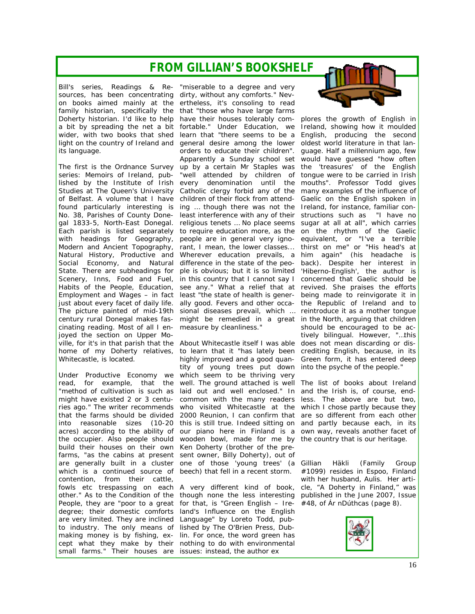## *FROM GILLIAN'S BOOKSHELF*

Bill's series, Readings & Re-"miserable to a degree and very sources, has been concentrating dirty, without any comforts." Nevon books aimed mainly at the ertheless, it's consoling to read family historian, specifically the that "those who have large farms its language.

cinating reading. Most of all I en-measure by cleanliness." joyed the section on Upper Mo-Whitecastle, is located.

Under Productive Economy we which seem to be thriving very build their houses on their own Ken Doherty (brother of the prefarms, "as the cabins at present sent owner, Billy Doherty), out of are generally built in a cluster one of those 'young trees' (a which is a continued source of beech) that fell in a recent storm. contention, from their cattle, fowls etc trespassing on each A very different kind of book, other." As to the Condition of the though none the less interesting People, they are "poor to a great for that, is "Green English – Iredegree; their domestic comforts are very limited. They are inclined Language" by Loreto Todd, pubto industry. The only means of lished by The O'Brien Press, Dubmaking money is by fishing, ex-lin. For once, the word green has cept what they make by their nothing to do with environmental small farms." Their houses are issues: instead, the author ex

Doherty historian. I'd like to help have their houses tolerably com- plores the growth of English in a bit by spreading the net a bit fortable." Under Education, we Ireland, showing how it moulded wider, with two books that shed learn that "there seems to be a English, producing the second light on the country of Ireland and general desire among the lower oldest world literature in that lan-The first is the Ordnance Survey up by a certain Mr Staples was the 'treasures' of the English series: Memoirs of Ireland, pub- "well attended by children of tongue were to be carried in Irish lished by the Institute of Irish every denomination until the mouths". Professor Todd gives Studies at The Queen's University Catholic clergy forbid any of the many examples of the influence of of Belfast. A volume that I have children of their flock from attend-Gaelic on the English spoken in found particularly interesting is ing ... though there was not the Ireland, for instance, familiar con-No. 38, Parishes of County Done- least interference with any of their structions such as "I have no gal 1833-5, North-East Donegal. religious tenets ... No place seems sugar at all at all", which carries Each parish is listed separately to require education more, as the on the rhythm of the Gaelic with headings for Geography, people are in-general very igno- equivalent, or "I've a terrible Modern and Ancient Topography, rant, I mean, the lower classes... thirst on me" or "His head's at Natural History, Productive and Wherever education prevails, a him again" (his headache is Social Economy, and Natural difference in the state of the peo-back). Despite her interest in State. There are subheadings for ple is obvious; but it is so limited 'Hiberno-English', the author is Scenery, Inns, Food and Fuel, in this country that I cannot say I concerned that Gaelic should be Habits of the People, Education, see any." What a relief that at revived. She praises the efforts Employment and Wages - in fact least "the state of health is gener- being made to reinvigorate it in just about every facet of daily life. ally good. Fevers and other occa-the Republic of Ireland and to The picture painted of mid-19th sional diseases prevail, which … reintroduce it as a mother tongue century rural Donegal makes fas- might be remedied in a great in the North, arguing that children orders to educate their children". guage. Half a millennium ago, few Apparently a Sunday school set would have guessed "how often

ville, for it's in that parish that the About Whitecastle itself I was able does not mean discarding or dishome of my Doherty relatives, to learn that it "has lately been crediting English, because, in its read, for example, that the well. The ground attached is well The list of books about Ireland "method of cultivation is such as laid out and well enclosed." In and the Irish is, of course, endmight have existed 2 or 3 centu-common with the many readers less. The above are but two, ries ago." The writer recommends who visited Whitecastle at the which I chose partly because they that the farms should be divided 2000 Reunion, I can confirm that are so different from each other into reasonable sizes (10-20 this is still true. Indeed sitting on and partly because each, in its acres) according to the ability of our piano here in Finland is a own way, reveals another facet of the occupier. Also people should wooden bowl, made for me by the country that is our heritage. highly improved and a good quan-Green form, it has entered deep tity of young trees put down into the psyche of the people."

land's Influence on the English



should be encouraged to be actively bilingual. However, "…this

*Gillian Häkli (Family Group #1099) resides in Espoo, Finland with her husband, Aulis. Her article, "A Doherty in Finland," was published in the June 2007, Issue #48, of Ár nDúthcas (page 8).* 

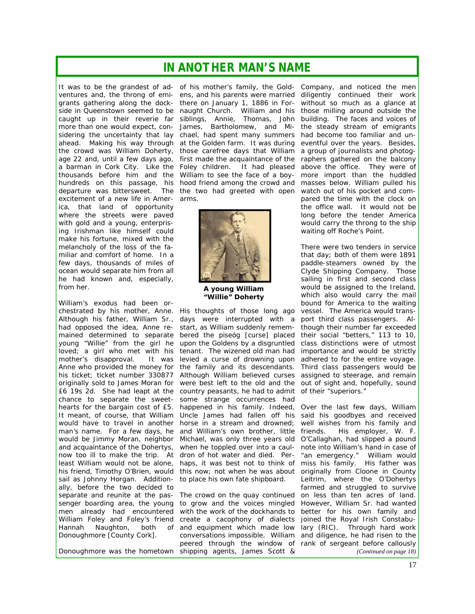### *IN ANOTHER MAN'S NAME*

side in Queenstown seemed to be caught up in their reverie far more than one would expect, conexcitement of a new life in Amer-arms. ica, that land of opportunity where the streets were paved with gold and a young, enterprising Irishman like himself could make his fortune, mixed with the melancholy of the loss of the familiar and comfort of home. In a few days, thousands of miles of ocean would separate him from all he had known and, especially, from *her*.

William's exodus had been orchestrated by his mother, Anne. Although his father, William Sr., had opposed the idea, Anne remained determined to separate young "Willie" from the girl he upon the Goldens by a disgruntled loved; a girl who met with his tenant. The wizened old man had mother's disapproval. It was levied a curse of drowning upon Anne who provided the money for the family and its descendants. his ticket; ticket number 330877 Although William believed curses assigned to steerage, and remain originally sold to James Moran for were best left to the old and the out of sight and, hopefully, sound £6 19s 2d. She had leapt at the country peasants, he had to admit of their "superiors." chance to separate the sweethearts for the bargain cost of £5. It meant, of course, that William Uncle James had fallen off his said his goodbyes and received would have to travel in another horse in a stream and drowned; well wishes from his family and man's name. For a few days, he and William's own brother, little would be Jimmy Moran, neighbor and acquaintance of the Dohertys, now too ill to make the trip. At dron of hot water and died. Per-"an emergency." William would least William would not be alone, his friend, Timothy O'Brien, would this now; not when he was about originally from Cloone in County sail as Johnny Horgan. Additionally, before the two decided to senger boarding area, the young men already had encountered Hannah Naughton, both Donoughmore *[County Cork]*.

It was to be the grandest of ad- of his mother's family, the Gold- Company, and noticed the men ventures and, the throng of emi- ens, and his parents were married diligently continued their work grants gathering along the dock-there on January 1, 1886 in For-without so much as a glance at sidering the uncertainty that lay chael, had spent many summers had become too familiar and unahead. Making his way through at the Golden farm. It was during eventful over the years. Besides, the crowd was William Doherty, those carefree days that William a group of journalists and photogage 22 and, until a few days ago, first made the acquaintance of the raphers gathered on the balcony a barman in Cork City. Like the Foley children. It had pleased above the office. They were of thousands before him and the William to see the face of a boy-more import than the huddled hundreds on this passage, his hood friend among the crowd and masses below. William pulled his departure was bittersweet. The the two had greeted with open watch out of his pocket and comnaught Church. William and his siblings, Annie, Thomas, John James, Bartholomew, and Mi-



**A young William "Willie" Doherty** 

His thoughts of those long ago vessel. The *America* would transdays were interrupted with a start, as William suddenly remembered the piseóg *[curse]* placed some strange occurrences had happened in his family. Indeed, Over the last few days, William Michael, was only three years old O'Callaghan, had slipped a pound when he toppled over into a caul-note into William's hand in case of haps, it was best not to think of miss his family. His father was to place his own fate shipboard.

separate and reunite at the pas-The crowd on the quay continued on less than ten acres of land. William Foley and Foley's friend create a cacophony of dialects joined the Royal Irish Constabu-Donoughmore was the hometown shipping agents, James Scott & to grow and the voices mingled with the work of the dockhands to better for his own family and and equipment which made low lary (RIC). Through hard work conversations impossible. William and diligence, he had risen to the peered through the window of rank of sergeant before callously

those milling around outside the building. The faces and voices of the steady stream of emigrants pared the time with the clock on the office wall. It would not be long before the tender *America*  would carry the throng to the ship waiting off Roche's Point.

There were two tenders in service that day; both of them were 1891 paddle-steamers owned by the Clyde Shipping Company. Those sailing in first and second class would be assigned to the *Ireland*, which also would carry the mail bound for America to the waiting port third class passengers. Although their number far exceeded their social "betters," 113 to 10, class distinctions were of utmost importance and would be strictly adhered to for the entire voyage. Third class passengers would be

His employer, W. F. Leitrim, where the O'Dohertys farmed and struggled to survive However, William Sr. had wanted *(Continued on page 18)*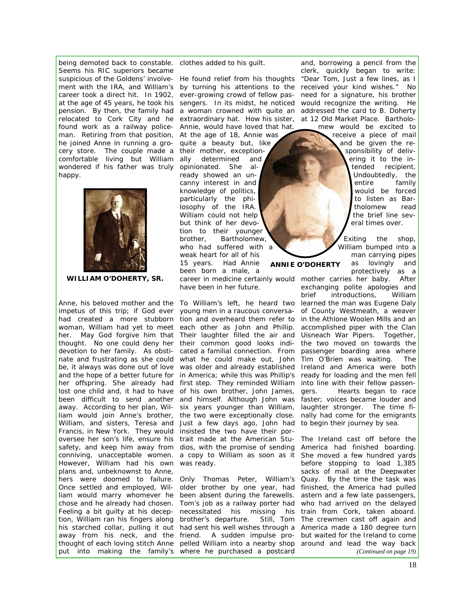being demoted back to constable. clothes added to his guilt. Seems his RIC superiors became ment with the IRA, and William's by turning his attentions to the career took a direct hit. In 1902, ever-growing crowd of fellow pasat the age of 45 years, he took his sengers. In its midst, he noticed would recognize the writing. He relocated to Cork City and he found work as a railway policeman. Retiring from that position, At the age of 18, Annie was he joined Anne in running a grocery store. The couple made a comfortable living but William wondered if his father was truly opinionated. She alhappy.



**WILLIAM O'DOHERTY, SR.** 

Francis, in New York. They would insisted the two have their por-However, William had his own was ready. plans and, unbeknownst to Anne, Once settled and employed, Wil-older brother by one year, had liam would marry whomever he been absent during the farewells. chose and he already had chosen. Tom's job as a railway porter had Feeling a bit guilty at his deception, William ran his fingers along his starched collar, pulling it out had sent his well wishes through a

Annie, would have loved that hat. quite a beauty but, like their mother, exceptionally determined and ready showed an uncanny interest in and knowledge of politics, particularly the philosophy of the IRA. William could not help but think of her devotion to their younger brother, Bartholomew, who had suffered with a weak heart for all of his 15 years. Had Annie been born a male, a **ANNIE O'DOHERTY** 

have been in her future.

impetus of this trip; if God ever young men in a raucous conversa-of County Westmeath, a weaver had created a more stubborn tion and overheard them refer to in the Athlone Woolen Mills and an woman, William had yet to meet each other as John and Phillip. accomplished piper with the Clan her. May God forgive him that Their laughter filled the air and Uisneach War Pipers. Together, thought. No one could deny her their common good looks indi- the two moved on towards the devotion to her family. As obsti- cated a familial connection. From passenger boarding area where nate and frustrating as she could what he could make out, John Tim O'Brien was waiting. The be, it always was done out of love was older and already established *Ireland* and *America* were both and the hope of a better future for in America; while this was Phillip's ready for loading and the men fell her offspring. She already had first step. They reminded William into line with their fellow passenlost one child and, it had to have of his own brother, John James, been difficult to send another and himself. Although John was faster; voices became louder and away. According to her plan, Wil-six years younger than William, laughter stronger. The time filiam would join Anne's brother, the two were exceptionally close. nally had come for the emigrants William, and sisters, Teresa and Just a few days ago, John had to begin their journey by sea. oversee her son's life, ensure his trait made at the American Stu- The *Ireland* cast off before the safety, and keep him away from dios, with the promise of sending *America* had finished boarding. conniving, unacceptable women. a copy to William as soon as it She moved a few hundred yards

hers were doomed to failure. Only Thomas Peter, William's Quay. By the time the task was away from his neck, and the friend. A sudden impulse pro-but waited for the Ireland to come thought of each loving stitch Anne pelled William into a nearby shop around and lead the way back put into making the family's where he purchased a postcard necessitated his missing his brother's departure. Still, Tom

suspicious of the Goldens' involve-He found relief from his thoughts "*Dear Tom, Just a few lines, as I*  pension. By then, the family had a woman crowned with quite an addressed the card to B. Doherty extraordinary hat. How his sister, at 12 Old Market Place. Bartholoand, borrowing a pencil from the clerk, quickly began to write: *received your kind wishes.*" No need for a signature, his brother mew would be excited to

receive a piece of mail and be given the responsibility of delivering it to the intended recipient. Undoubtedly, the entire family would be forced to listen as Bartholomew read the brief line several times over.

Exiting the shop, William bumped into a man carrying pipes as lovingly and protectively as a

Anne, his beloved mother and the To William's left, he heard two learned the man was Eugene Daly career in medicine certainly would mother carries her baby. After exchanging polite apologies and brief introductions, William Hearts began to race

> before stopping to load 1,385 sacks of mail at the Deepwater finished, the *America* had pulled astern and a few late passengers, who had arrived on the delayed train from Cork, taken aboard. The crewmen cast off again and *America* made a 180 degree turn *(Continued on page 19)*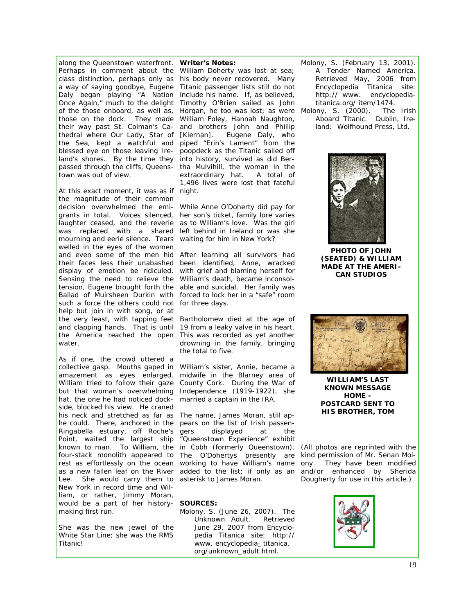along the Queenstown waterfront. *Writer's Notes:*  of the those onboard, as well as, those on the dock. They made their way past St. Colman's Cathedral where Our Lady, Star of the Sea, kept a watchful and blessed eye on those leaving Ireland's shores. By the time they *into history, survived as did Ber*town was out of view.

At this exact moment, it was as if *night.*  the magnitude of their common decision overwhelmed the emi-*While Anne O'Doherty did pay for*  grants in total. Voices silenced, *her son's ticket, family lore varies*  laughter ceased, and the reverie as to William's love. Was the girl was replaced with a shared *left behind in Ireland or was she*  mourning and eerie silence. Tears *waiting for him in New York?*  welled in the eyes of the women and even some of the men hid *After learning all survivors had*  their faces less their unabashed *been identified, Anne, wracked*  display of emotion be ridiculed. *with grief and blaming herself for*  Sensing the need to relieve the *William's death, became inconsol*tension, Eugene brought forth the *able and suicidal. Her family was Ballad of Muirsheen Durkin* with *forced to lock her in a "safe" room*  such a force the others could not *for three days.*  help but join in with song, or at the very least, with tapping feet *Bartholomew died at the age of*  and clapping hands. That is until *19 from a leaky valve in his heart.*  the *America* reached the open *This was recorded as yet another*  water.

As if one, the crowd uttered a collective gasp. Mouths gaped in *William's sister, Annie, became a*  amazement as eyes enlarged. William tried to follow their gaze *County Cork. During the War of*  but that woman's overwhelming *Independence (1919-1922), she*  hat, the one he had noticed dock-*married a captain in the IRA.*  side, blocked his view. He craned his neck and stretched as far as *The name, James Moran, still ap*he could. There, anchored in the *pears on the list of Irish passen-*Ringabella estuary, off Roche's gers Point, waited the largest ship known to man. To William, the *in Cobh (formerly Queenstown).*  rest as effortlessly on the ocean *working to have William's name*  as a new fallen leaf on the River Lee. She would carry them to *asterisk to James Moran.*  New York in record time and William, or rather, Jimmy Moran, would be a part of her history-*SOURCES:*  making first run.

She was the new jewel of the White Star Line; she was the *RMS Titanic*!

Perhaps in comment about the *William Doherty was lost at sea;*  class distinction, perhaps only as *his body never recovered. Many*  a way of saying goodbye, Eugene *Titanic passenger lists still do not*  Daly began playing "A Nation *include his name. If, as believed,*  Once Again," much to the delight *Timothy O'Brien sailed as John*  passed through the cliffs, Queens-*tha Mulvihill, the woman in the Horgan, he too was lost; as were*  Molony, S. (2000). *The Irish William Foley, Hannah Naughton, and brothers John and Phillip [Kiernan]. Eugene Daly, who piped "Erin's Lament" from the poopdeck as the Titanic sailed off extraordinary hat. A total of 1,496 lives were lost that fateful* 

*drowning in the family, bringing the total to five.* 

*midwife in the Blarney area of* 

four-stack monolith appeared to *The O'Dohertys presently are kind permission of Mr. Senan Mol*displayed at the *"Queenstown Experience" exhibit added to the list; if only as an* 

Molony, S. (June 26, 2007). *The Unknown Adult.* Retrieved June 29, 2007 from Encyclopedia Titanica site: http:// www. encyclopedia- titanica. org/unknown\_adult.html.

Molony, S. (February 13, 2001). *A Tender Named America*. Retrieved May, 2006 from Encyclopedia Titanica site: http:// www. encyclopediatitanica.org/ item/1474.

*Aboard Titanic*. Dublin, Ireland: Wolfhound Press, Ltd.



**PHOTO OF JOHN (SEATED) & WILLIAM MADE AT THE AMERI-CAN STUDIOS** 



**WILLIAM'S LAST KNOWN MESSAGE HOME - POSTCARD SENT TO HIS BROTHER, TOM** 

*(All photos are reprinted with the ony. They have been modified and/or enhanced by Sherida Dougherty for use in this article.)*